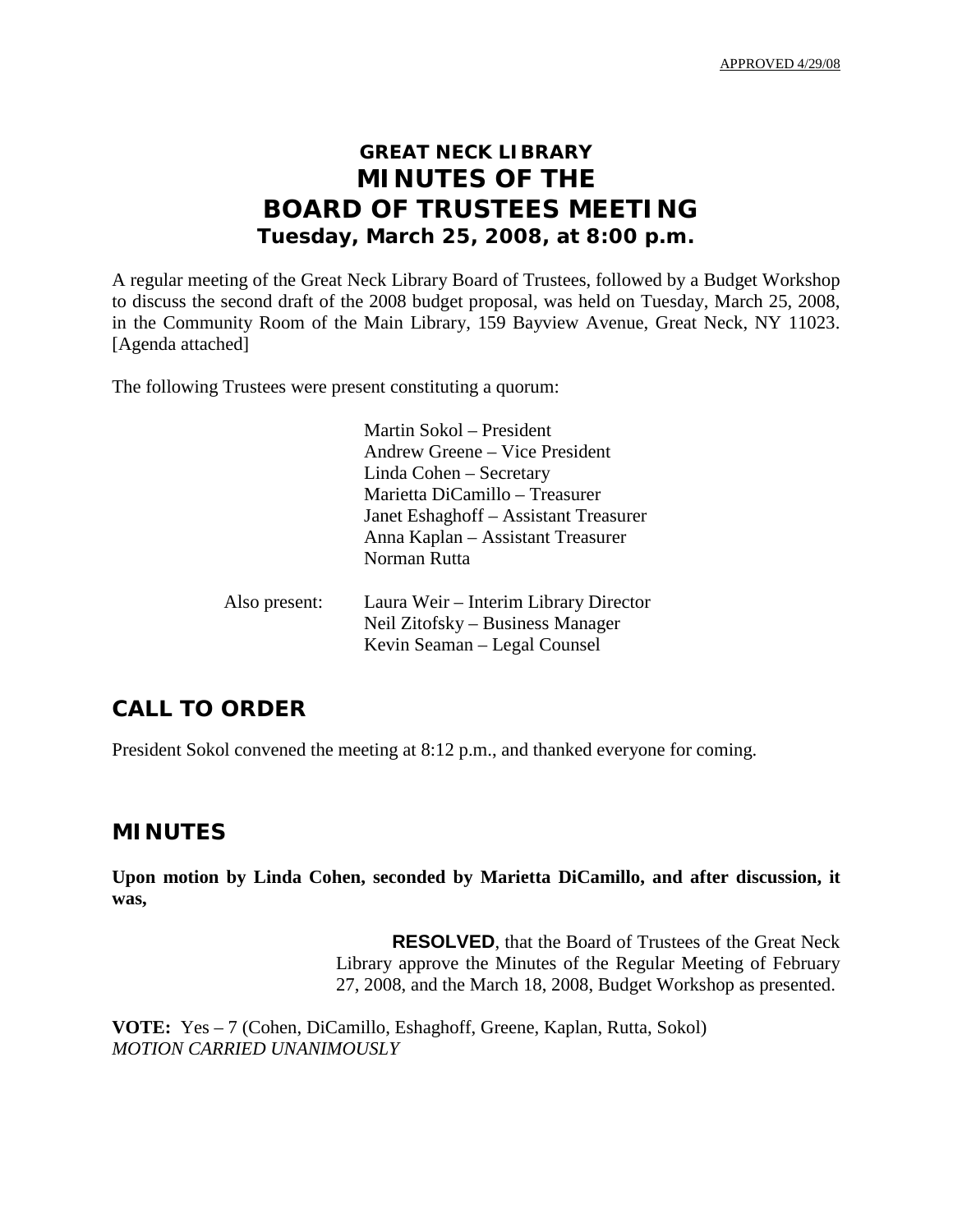APPROVED 4/29/08

## **GREAT NECK LIBRARY MINUTES OF THE BOARD OF TRUSTEES MEETING Tuesday, March 25, 2008, at 8:00 p.m.**

A regular meeting of the Great Neck Library Board of Trustees, followed by a Budget Workshop to discuss the second draft of the 2008 budget proposal, was held on Tuesday, March 25, 2008, in the Community Room of the Main Library, 159 Bayview Avenue, Great Neck, NY 11023. [Agenda attached]

The following Trustees were present constituting a quorum:

|               | Martin Sokol – President              |
|---------------|---------------------------------------|
|               | Andrew Greene – Vice President        |
|               | Linda Cohen – Secretary               |
|               | Marietta DiCamillo – Treasurer        |
|               | Janet Eshaghoff – Assistant Treasurer |
|               | Anna Kaplan - Assistant Treasurer     |
|               | Norman Rutta                          |
| Also present: | Laura Weir – Interim Library Director |
|               | Neil Zitofsky – Business Manager      |
|               | Kevin Seaman – Legal Counsel          |

## **CALL TO ORDER**

President Sokol convened the meeting at 8:12 p.m., and thanked everyone for coming.

## **MINUTES**

**Upon motion by Linda Cohen, seconded by Marietta DiCamillo, and after discussion, it was,**

> **RESOLVED**, that the Board of Trustees of the Great Neck Library approve the Minutes of the Regular Meeting of February 27, 2008, and the March 18, 2008, Budget Workshop as presented.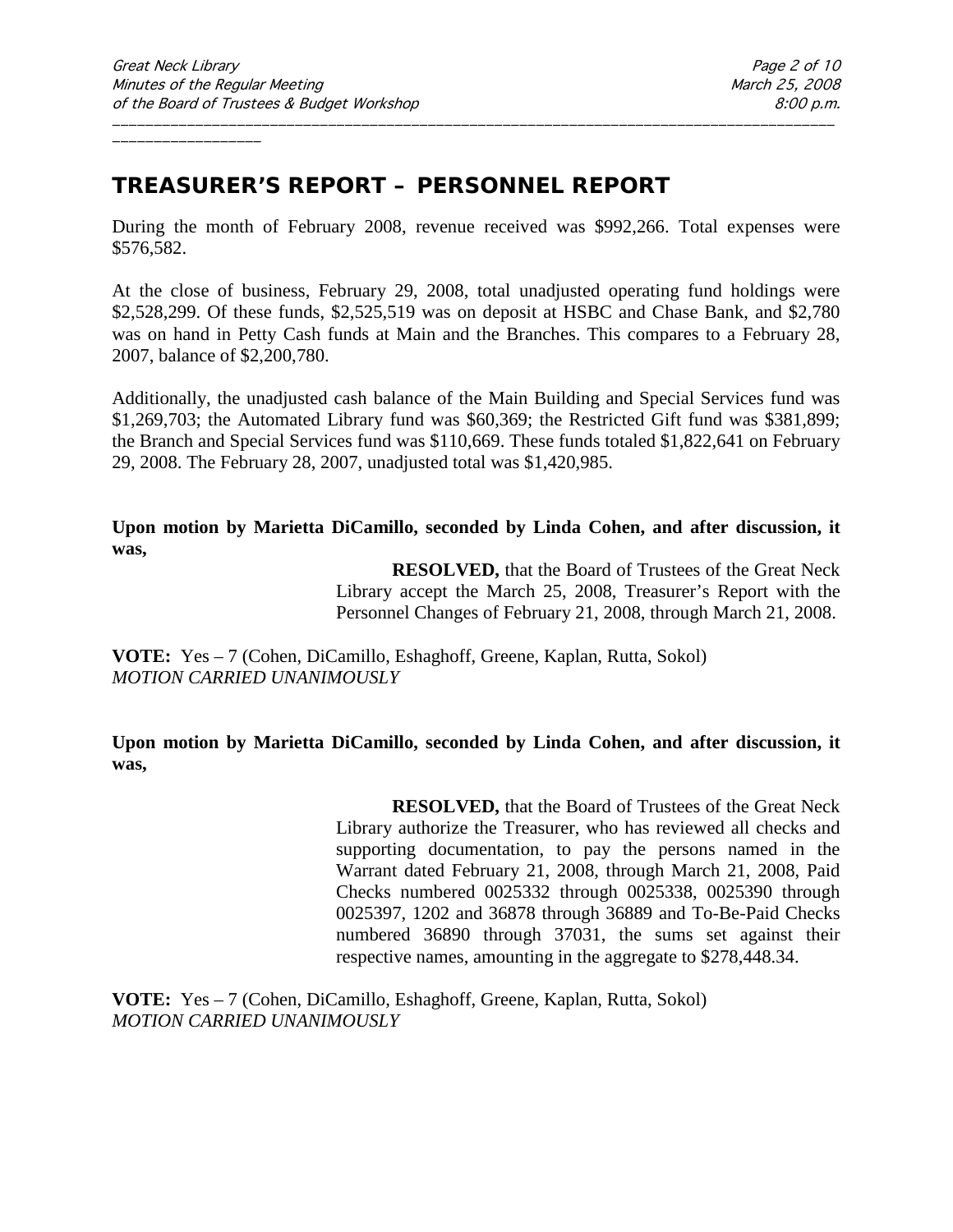## **TREASURER'S REPORT – PERSONNEL REPORT**

During the month of February 2008, revenue received was \$992,266. Total expenses were \$576,582.

\_\_\_\_\_\_\_\_\_\_\_\_\_\_\_\_\_\_\_\_\_\_\_\_\_\_\_\_\_\_\_\_\_\_\_\_\_\_\_\_\_\_\_\_\_\_\_\_\_\_\_\_\_\_\_\_\_\_\_\_\_\_\_\_\_\_\_\_\_\_\_\_\_\_\_\_\_\_\_\_\_\_\_\_\_\_\_

At the close of business, February 29, 2008, total unadjusted operating fund holdings were \$2,528,299. Of these funds, \$2,525,519 was on deposit at HSBC and Chase Bank, and \$2,780 was on hand in Petty Cash funds at Main and the Branches. This compares to a February 28, 2007, balance of \$2,200,780.

Additionally, the unadjusted cash balance of the Main Building and Special Services fund was \$1,269,703; the Automated Library fund was \$60,369; the Restricted Gift fund was \$381,899; the Branch and Special Services fund was \$110,669. These funds totaled \$1,822,641 on February 29, 2008. The February 28, 2007, unadjusted total was \$1,420,985.

**Upon motion by Marietta DiCamillo, seconded by Linda Cohen, and after discussion, it was,**

> **RESOLVED,** that the Board of Trustees of the Great Neck Library accept the March 25, 2008, Treasurer's Report with the Personnel Changes of February 21, 2008, through March 21, 2008.

**VOTE:** Yes – 7 (Cohen, DiCamillo, Eshaghoff, Greene, Kaplan, Rutta, Sokol) *MOTION CARRIED UNANIMOUSLY*

**Upon motion by Marietta DiCamillo, seconded by Linda Cohen, and after discussion, it was,**

> **RESOLVED,** that the Board of Trustees of the Great Neck Library authorize the Treasurer, who has reviewed all checks and supporting documentation, to pay the persons named in the Warrant dated February 21, 2008, through March 21, 2008, Paid Checks numbered 0025332 through 0025338, 0025390 through 0025397, 1202 and 36878 through 36889 and To-Be-Paid Checks numbered 36890 through 37031, the sums set against their respective names, amounting in the aggregate to \$278,448.34.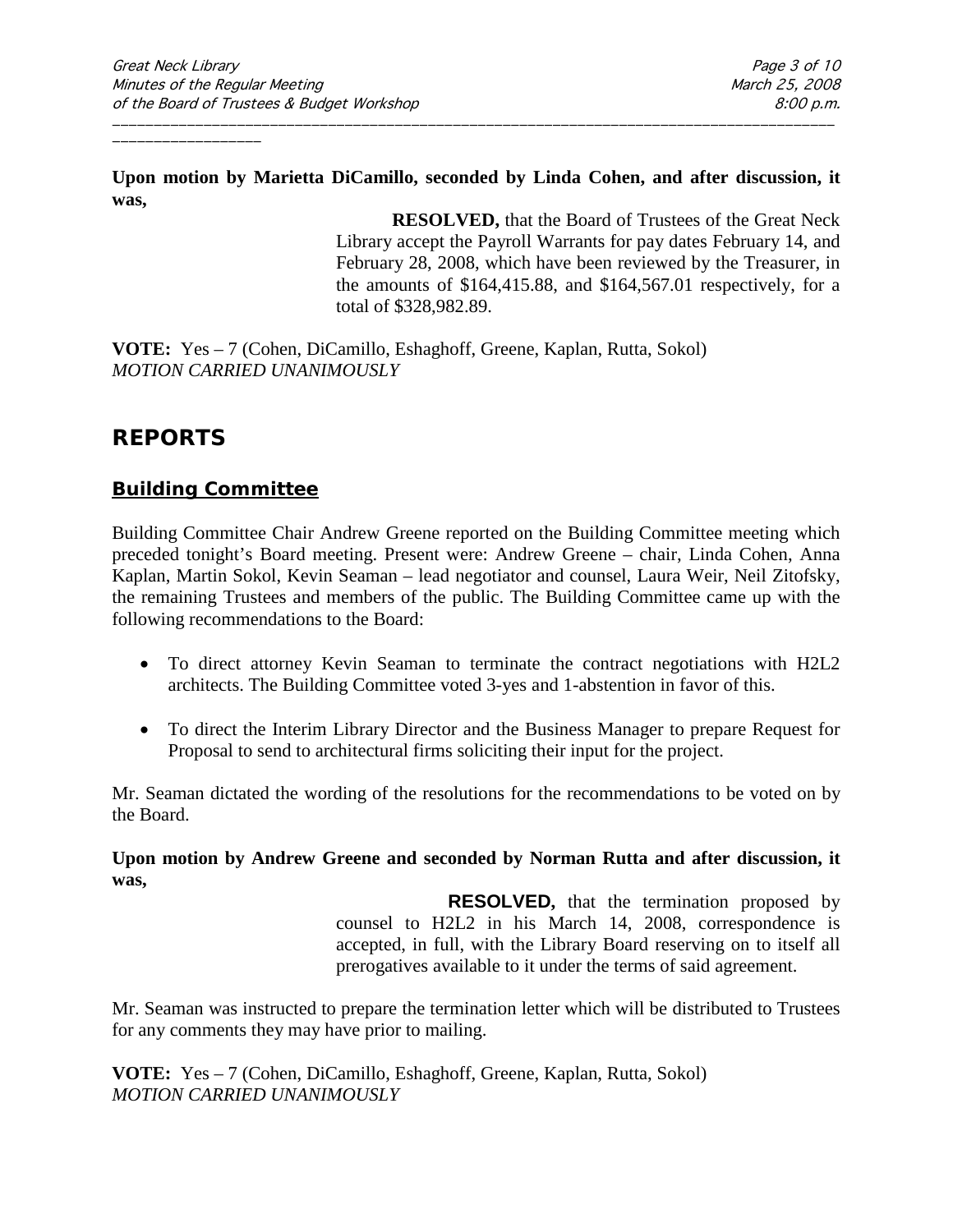**Upon motion by Marietta DiCamillo, seconded by Linda Cohen, and after discussion, it was,**

\_\_\_\_\_\_\_\_\_\_\_\_\_\_\_\_\_\_\_\_\_\_\_\_\_\_\_\_\_\_\_\_\_\_\_\_\_\_\_\_\_\_\_\_\_\_\_\_\_\_\_\_\_\_\_\_\_\_\_\_\_\_\_\_\_\_\_\_\_\_\_\_\_\_\_\_\_\_\_\_\_\_\_\_\_\_\_

**RESOLVED,** that the Board of Trustees of the Great Neck Library accept the Payroll Warrants for pay dates February 14, and February 28, 2008, which have been reviewed by the Treasurer, in the amounts of \$164,415.88, and \$164,567.01 respectively, for a total of \$328,982.89.

**VOTE:** Yes – 7 (Cohen, DiCamillo, Eshaghoff, Greene, Kaplan, Rutta, Sokol) *MOTION CARRIED UNANIMOUSLY*

## **REPORTS**

## **Building Committee**

Building Committee Chair Andrew Greene reported on the Building Committee meeting which preceded tonight's Board meeting. Present were: Andrew Greene – chair, Linda Cohen, Anna Kaplan, Martin Sokol, Kevin Seaman – lead negotiator and counsel, Laura Weir, Neil Zitofsky, the remaining Trustees and members of the public. The Building Committee came up with the following recommendations to the Board:

- To direct attorney Kevin Seaman to terminate the contract negotiations with H2L2 architects. The Building Committee voted 3-yes and 1-abstention in favor of this.
- To direct the Interim Library Director and the Business Manager to prepare Request for Proposal to send to architectural firms soliciting their input for the project.

Mr. Seaman dictated the wording of the resolutions for the recommendations to be voted on by the Board.

**Upon motion by Andrew Greene and seconded by Norman Rutta and after discussion, it was,**

> **RESOLVED,** that the termination proposed by counsel to H2L2 in his March 14, 2008, correspondence is accepted, in full, with the Library Board reserving on to itself all prerogatives available to it under the terms of said agreement.

Mr. Seaman was instructed to prepare the termination letter which will be distributed to Trustees for any comments they may have prior to mailing.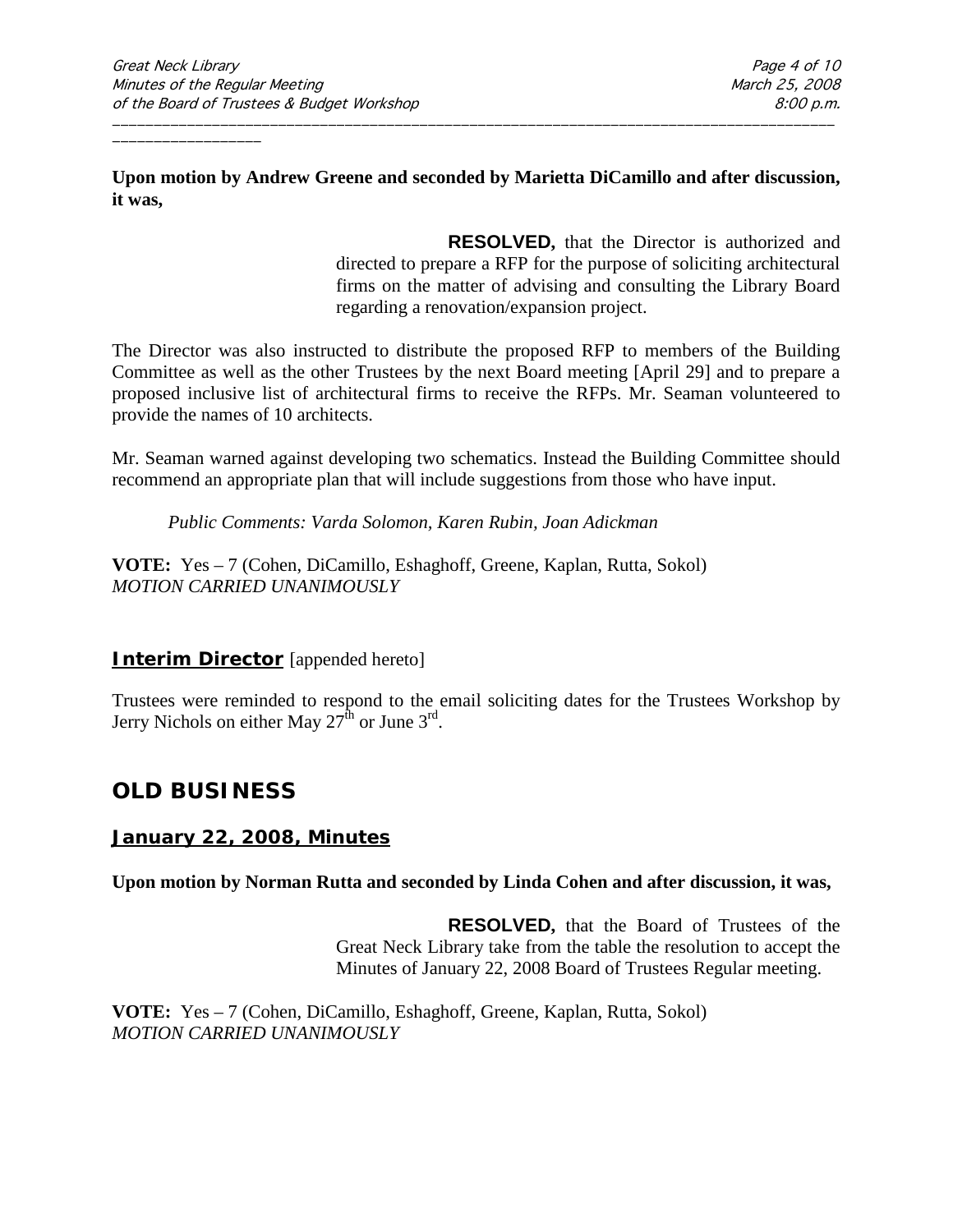#### **Upon motion by Andrew Greene and seconded by Marietta DiCamillo and after discussion, it was,**

\_\_\_\_\_\_\_\_\_\_\_\_\_\_\_\_\_\_\_\_\_\_\_\_\_\_\_\_\_\_\_\_\_\_\_\_\_\_\_\_\_\_\_\_\_\_\_\_\_\_\_\_\_\_\_\_\_\_\_\_\_\_\_\_\_\_\_\_\_\_\_\_\_\_\_\_\_\_\_\_\_\_\_\_\_\_\_

**RESOLVED,** that the Director is authorized and directed to prepare a RFP for the purpose of soliciting architectural firms on the matter of advising and consulting the Library Board regarding a renovation/expansion project.

The Director was also instructed to distribute the proposed RFP to members of the Building Committee as well as the other Trustees by the next Board meeting [April 29] and to prepare a proposed inclusive list of architectural firms to receive the RFPs. Mr. Seaman volunteered to provide the names of 10 architects.

Mr. Seaman warned against developing two schematics. Instead the Building Committee should recommend an appropriate plan that will include suggestions from those who have input.

*Public Comments: Varda Solomon, Karen Rubin, Joan Adickman*

**VOTE:** Yes – 7 (Cohen, DiCamillo, Eshaghoff, Greene, Kaplan, Rutta, Sokol) *MOTION CARRIED UNANIMOUSLY*

### **Interim Director** [appended hereto]

Trustees were reminded to respond to the email soliciting dates for the Trustees Workshop by Jerry Nichols on either May  $27^{\text{th}}$  or June  $3^{\text{rd}}$ .

## **OLD BUSINESS**

### **January 22, 2008, Minutes**

**Upon motion by Norman Rutta and seconded by Linda Cohen and after discussion, it was,**

**RESOLVED,** that the Board of Trustees of the Great Neck Library take from the table the resolution to accept the Minutes of January 22, 2008 Board of Trustees Regular meeting.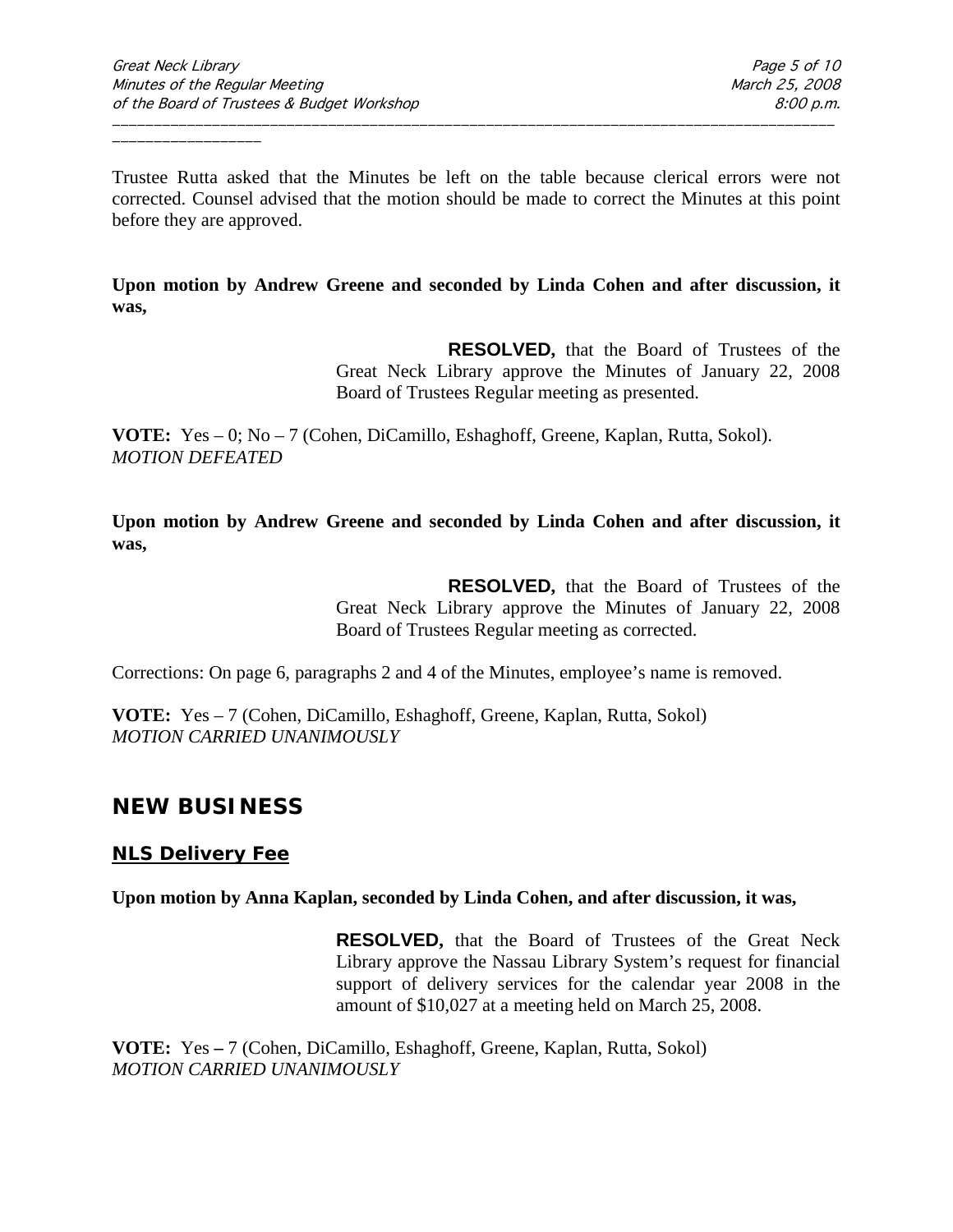Trustee Rutta asked that the Minutes be left on the table because clerical errors were not corrected. Counsel advised that the motion should be made to correct the Minutes at this point before they are approved.

\_\_\_\_\_\_\_\_\_\_\_\_\_\_\_\_\_\_\_\_\_\_\_\_\_\_\_\_\_\_\_\_\_\_\_\_\_\_\_\_\_\_\_\_\_\_\_\_\_\_\_\_\_\_\_\_\_\_\_\_\_\_\_\_\_\_\_\_\_\_\_\_\_\_\_\_\_\_\_\_\_\_\_\_\_\_\_

**Upon motion by Andrew Greene and seconded by Linda Cohen and after discussion, it was,**

> **RESOLVED,** that the Board of Trustees of the Great Neck Library approve the Minutes of January 22, 2008 Board of Trustees Regular meeting as presented.

**VOTE:** Yes – 0; No – 7 (Cohen, DiCamillo, Eshaghoff, Greene, Kaplan, Rutta, Sokol). *MOTION DEFEATED*

**Upon motion by Andrew Greene and seconded by Linda Cohen and after discussion, it was,**

> **RESOLVED,** that the Board of Trustees of the Great Neck Library approve the Minutes of January 22, 2008 Board of Trustees Regular meeting as corrected.

Corrections: On page 6, paragraphs 2 and 4 of the Minutes, employee's name is removed.

**VOTE:** Yes – 7 (Cohen, DiCamillo, Eshaghoff, Greene, Kaplan, Rutta, Sokol) *MOTION CARRIED UNANIMOUSLY*

## **NEW BUSINESS**

### **NLS Delivery Fee**

**Upon motion by Anna Kaplan, seconded by Linda Cohen, and after discussion, it was,**

**RESOLVED,** that the Board of Trustees of the Great Neck Library approve the Nassau Library System's request for financial support of delivery services for the calendar year 2008 in the amount of \$10,027 at a meeting held on March 25, 2008.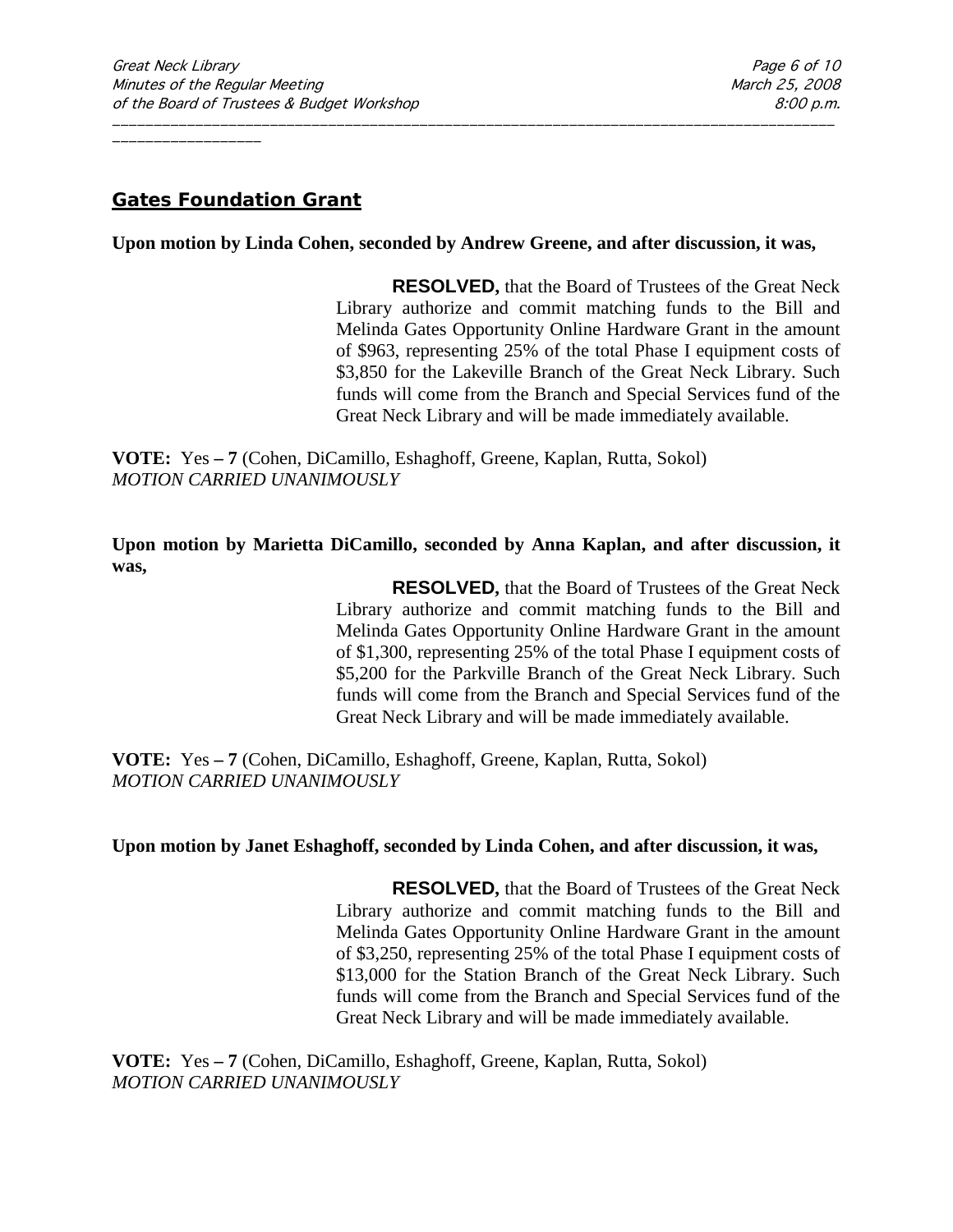## **Gates Foundation Grant**

#### **Upon motion by Linda Cohen, seconded by Andrew Greene, and after discussion, it was,**

\_\_\_\_\_\_\_\_\_\_\_\_\_\_\_\_\_\_\_\_\_\_\_\_\_\_\_\_\_\_\_\_\_\_\_\_\_\_\_\_\_\_\_\_\_\_\_\_\_\_\_\_\_\_\_\_\_\_\_\_\_\_\_\_\_\_\_\_\_\_\_\_\_\_\_\_\_\_\_\_\_\_\_\_\_\_\_

**RESOLVED,** that the Board of Trustees of the Great Neck Library authorize and commit matching funds to the Bill and Melinda Gates Opportunity Online Hardware Grant in the amount of \$963, representing 25% of the total Phase I equipment costs of \$3,850 for the Lakeville Branch of the Great Neck Library. Such funds will come from the Branch and Special Services fund of the Great Neck Library and will be made immediately available.

**VOTE:** Yes **– 7** (Cohen, DiCamillo, Eshaghoff, Greene, Kaplan, Rutta, Sokol) *MOTION CARRIED UNANIMOUSLY*

**Upon motion by Marietta DiCamillo, seconded by Anna Kaplan, and after discussion, it was,**

> **RESOLVED,** that the Board of Trustees of the Great Neck Library authorize and commit matching funds to the Bill and Melinda Gates Opportunity Online Hardware Grant in the amount of \$1,300, representing 25% of the total Phase I equipment costs of \$5,200 for the Parkville Branch of the Great Neck Library. Such funds will come from the Branch and Special Services fund of the Great Neck Library and will be made immediately available.

**VOTE:** Yes **– 7** (Cohen, DiCamillo, Eshaghoff, Greene, Kaplan, Rutta, Sokol) *MOTION CARRIED UNANIMOUSLY*

#### **Upon motion by Janet Eshaghoff, seconded by Linda Cohen, and after discussion, it was,**

**RESOLVED,** that the Board of Trustees of the Great Neck Library authorize and commit matching funds to the Bill and Melinda Gates Opportunity Online Hardware Grant in the amount of \$3,250, representing 25% of the total Phase I equipment costs of \$13,000 for the Station Branch of the Great Neck Library. Such funds will come from the Branch and Special Services fund of the Great Neck Library and will be made immediately available.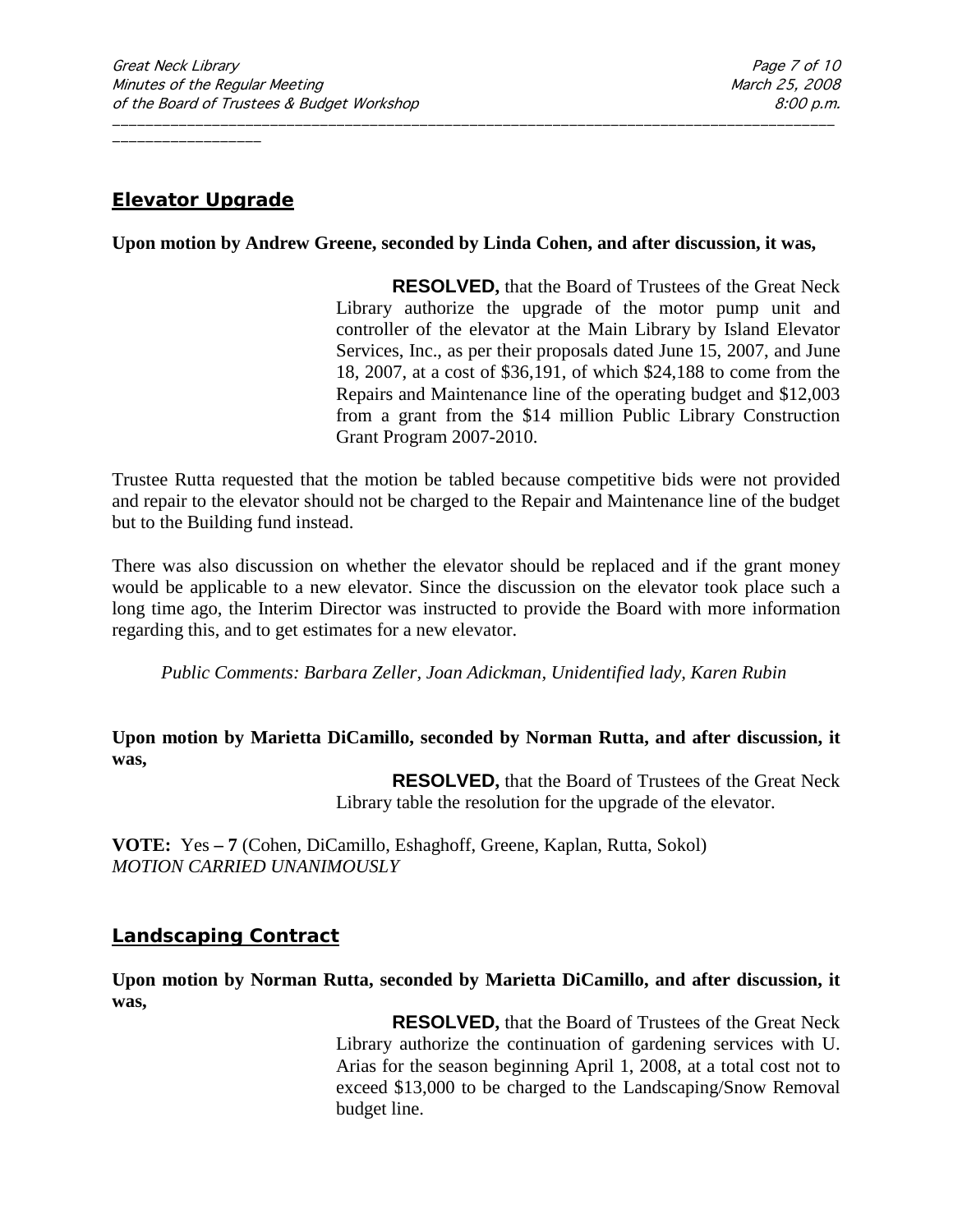## **Elevator Upgrade**

#### **Upon motion by Andrew Greene, seconded by Linda Cohen, and after discussion, it was,**

\_\_\_\_\_\_\_\_\_\_\_\_\_\_\_\_\_\_\_\_\_\_\_\_\_\_\_\_\_\_\_\_\_\_\_\_\_\_\_\_\_\_\_\_\_\_\_\_\_\_\_\_\_\_\_\_\_\_\_\_\_\_\_\_\_\_\_\_\_\_\_\_\_\_\_\_\_\_\_\_\_\_\_\_\_\_\_

**RESOLVED,** that the Board of Trustees of the Great Neck Library authorize the upgrade of the motor pump unit and controller of the elevator at the Main Library by Island Elevator Services, Inc., as per their proposals dated June 15, 2007, and June 18, 2007, at a cost of \$36,191, of which \$24,188 to come from the Repairs and Maintenance line of the operating budget and \$12,003 from a grant from the \$14 million Public Library Construction Grant Program 2007-2010.

Trustee Rutta requested that the motion be tabled because competitive bids were not provided and repair to the elevator should not be charged to the Repair and Maintenance line of the budget but to the Building fund instead.

There was also discussion on whether the elevator should be replaced and if the grant money would be applicable to a new elevator. Since the discussion on the elevator took place such a long time ago, the Interim Director was instructed to provide the Board with more information regarding this, and to get estimates for a new elevator.

*Public Comments: Barbara Zeller, Joan Adickman, Unidentified lady, Karen Rubin*

#### **Upon motion by Marietta DiCamillo, seconded by Norman Rutta, and after discussion, it was,**

**RESOLVED,** that the Board of Trustees of the Great Neck Library table the resolution for the upgrade of the elevator.

**VOTE:** Yes **– 7** (Cohen, DiCamillo, Eshaghoff, Greene, Kaplan, Rutta, Sokol) *MOTION CARRIED UNANIMOUSLY*

### **Landscaping Contract**

**Upon motion by Norman Rutta, seconded by Marietta DiCamillo, and after discussion, it was,**

> **RESOLVED,** that the Board of Trustees of the Great Neck Library authorize the continuation of gardening services with U. Arias for the season beginning April 1, 2008, at a total cost not to exceed \$13,000 to be charged to the Landscaping/Snow Removal budget line.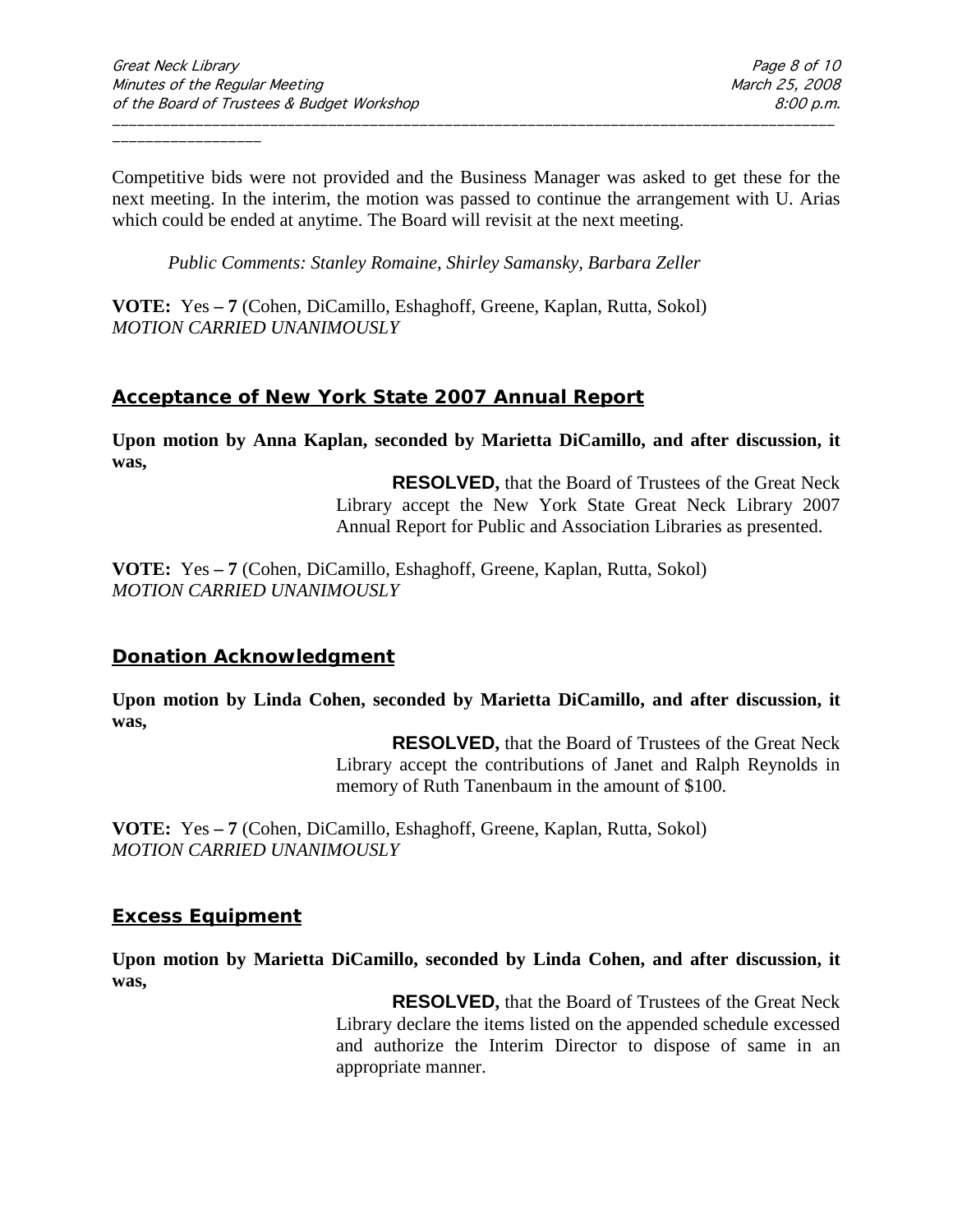Competitive bids were not provided and the Business Manager was asked to get these for the next meeting. In the interim, the motion was passed to continue the arrangement with U. Arias which could be ended at anytime. The Board will revisit at the next meeting.

\_\_\_\_\_\_\_\_\_\_\_\_\_\_\_\_\_\_\_\_\_\_\_\_\_\_\_\_\_\_\_\_\_\_\_\_\_\_\_\_\_\_\_\_\_\_\_\_\_\_\_\_\_\_\_\_\_\_\_\_\_\_\_\_\_\_\_\_\_\_\_\_\_\_\_\_\_\_\_\_\_\_\_\_\_\_\_

*Public Comments: Stanley Romaine, Shirley Samansky, Barbara Zeller*

**VOTE:** Yes **– 7** (Cohen, DiCamillo, Eshaghoff, Greene, Kaplan, Rutta, Sokol) *MOTION CARRIED UNANIMOUSLY*

## **Acceptance of New York State 2007 Annual Report**

**Upon motion by Anna Kaplan, seconded by Marietta DiCamillo, and after discussion, it was,**

> **RESOLVED,** that the Board of Trustees of the Great Neck Library accept the New York State Great Neck Library 2007 Annual Report for Public and Association Libraries as presented.

**VOTE:** Yes **– 7** (Cohen, DiCamillo, Eshaghoff, Greene, Kaplan, Rutta, Sokol) *MOTION CARRIED UNANIMOUSLY*

### **Donation Acknowledgment**

**Upon motion by Linda Cohen, seconded by Marietta DiCamillo, and after discussion, it was,**

> **RESOLVED,** that the Board of Trustees of the Great Neck Library accept the contributions of Janet and Ralph Reynolds in memory of Ruth Tanenbaum in the amount of \$100.

**VOTE:** Yes **– 7** (Cohen, DiCamillo, Eshaghoff, Greene, Kaplan, Rutta, Sokol) *MOTION CARRIED UNANIMOUSLY*

### **Excess Equipment**

**Upon motion by Marietta DiCamillo, seconded by Linda Cohen, and after discussion, it was,**

> **RESOLVED,** that the Board of Trustees of the Great Neck Library declare the items listed on the appended schedule excessed and authorize the Interim Director to dispose of same in an appropriate manner.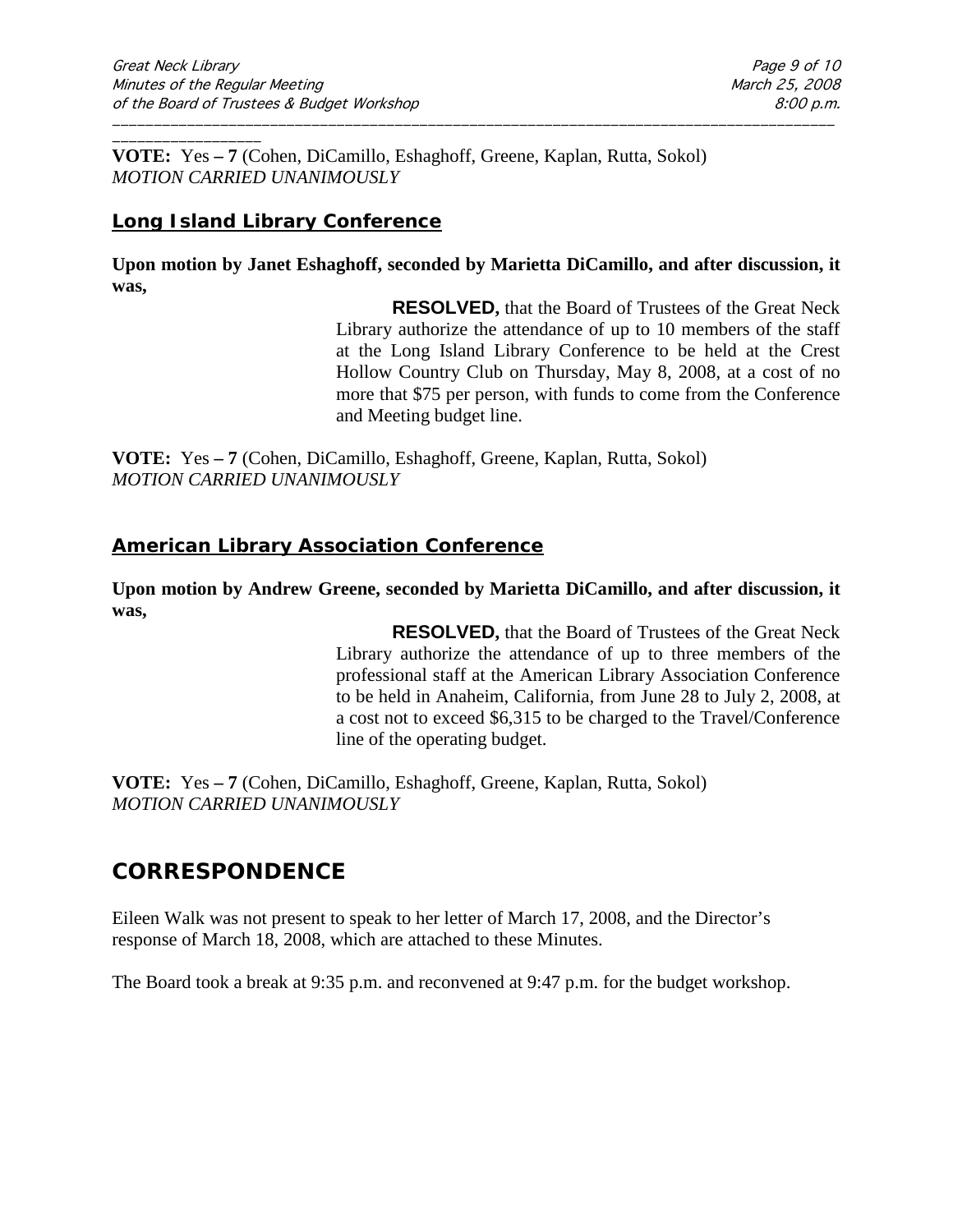\_\_\_\_\_\_\_\_\_\_\_\_\_\_\_\_\_\_ **VOTE:** Yes **– 7** (Cohen, DiCamillo, Eshaghoff, Greene, Kaplan, Rutta, Sokol) *MOTION CARRIED UNANIMOUSLY*

## **Long Island Library Conference**

**Upon motion by Janet Eshaghoff, seconded by Marietta DiCamillo, and after discussion, it was,**

\_\_\_\_\_\_\_\_\_\_\_\_\_\_\_\_\_\_\_\_\_\_\_\_\_\_\_\_\_\_\_\_\_\_\_\_\_\_\_\_\_\_\_\_\_\_\_\_\_\_\_\_\_\_\_\_\_\_\_\_\_\_\_\_\_\_\_\_\_\_\_\_\_\_\_\_\_\_\_\_\_\_\_\_\_\_\_

**RESOLVED,** that the Board of Trustees of the Great Neck Library authorize the attendance of up to 10 members of the staff at the Long Island Library Conference to be held at the Crest Hollow Country Club on Thursday, May 8, 2008, at a cost of no more that \$75 per person, with funds to come from the Conference and Meeting budget line.

**VOTE:** Yes **– 7** (Cohen, DiCamillo, Eshaghoff, Greene, Kaplan, Rutta, Sokol) *MOTION CARRIED UNANIMOUSLY*

## **American Library Association Conference**

**Upon motion by Andrew Greene, seconded by Marietta DiCamillo, and after discussion, it was,**

> **RESOLVED,** that the Board of Trustees of the Great Neck Library authorize the attendance of up to three members of the professional staff at the American Library Association Conference to be held in Anaheim, California, from June 28 to July 2, 2008, at a cost not to exceed \$6,315 to be charged to the Travel/Conference line of the operating budget.

**VOTE:** Yes **– 7** (Cohen, DiCamillo, Eshaghoff, Greene, Kaplan, Rutta, Sokol) *MOTION CARRIED UNANIMOUSLY*

## **CORRESPONDENCE**

Eileen Walk was not present to speak to her letter of March 17, 2008, and the Director's response of March 18, 2008, which are attached to these Minutes.

The Board took a break at 9:35 p.m. and reconvened at 9:47 p.m. for the budget workshop.